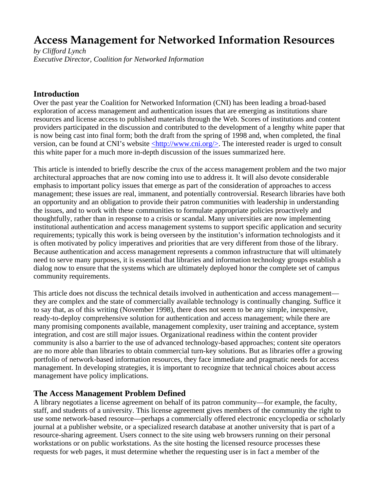# **Access Management for Networked Information Resources**

*by Clifford Lynch Executive Director, Coalition for Networked Information*

#### **Introduction**

Over the past year the Coalition for Networked Information (CNI) has been leading a broad-based exploration of access management and authentication issues that are emerging as institutions share resources and license access to published materials through the Web. Scores of institutions and content providers participated in the discussion and contributed to the development of a lengthy white paper that is now being cast into final form; both the draft from the spring of 1998 and, when completed, the final version, can be found at CNI's website <http://www.cni.org/>. The interested reader is urged to consult this white paper for a much more in-depth discussion of the issues summarized here.

This article is intended to briefly describe the crux of the access management problem and the two major architectural approaches that are now coming into use to address it. It will also devote considerable emphasis to important policy issues that emerge as part of the consideration of approaches to access management; these issues are real, immanent, and potentially controversial. Research libraries have both an opportunity and an obligation to provide their patron communities with leadership in understanding the issues, and to work with these communities to formulate appropriate policies proactively and thoughtfully, rather than in response to a crisis or scandal. Many universities are now implementing institutional authentication and access management systems to support specific application and security requirements; typically this work is being overseen by the institution's information technologists and it is often motivated by policy imperatives and priorities that are very different from those of the library. Because authentication and access management represents a common infrastructure that will ultimately need to serve many purposes, it is essential that libraries and information technology groups establish a dialog now to ensure that the systems which are ultimately deployed honor the complete set of campus community requirements.

This article does not discuss the technical details involved in authentication and access management they are complex and the state of commercially available technology is continually changing. Suffice it to say that, as of this writing (November 1998), there does not seem to be any simple, inexpensive, ready-to-deploy comprehensive solution for authentication and access management; while there are many promising components available, management complexity, user training and acceptance, system integration, and cost are still major issues. Organizational readiness within the content provider community is also a barrier to the use of advanced technology-based approaches; content site operators are no more able than libraries to obtain commercial turn-key solutions. But as libraries offer a growing portfolio of network-based information resources, they face immediate and pragmatic needs for access management. In developing strategies, it is important to recognize that technical choices about access management have policy implications.

#### **The Access Management Problem Defined**

A library negotiates a license agreement on behalf of its patron community—for example, the faculty, staff, and students of a university. This license agreement gives members of the community the right to use some network-based resource—perhaps a commercially offered electronic encyclopedia or scholarly journal at a publisher website, or a specialized research database at another university that is part of a resource-sharing agreement. Users connect to the site using web browsers running on their personal workstations or on public workstations. As the site hosting the licensed resource processes these requests for web pages, it must determine whether the requesting user is in fact a member of the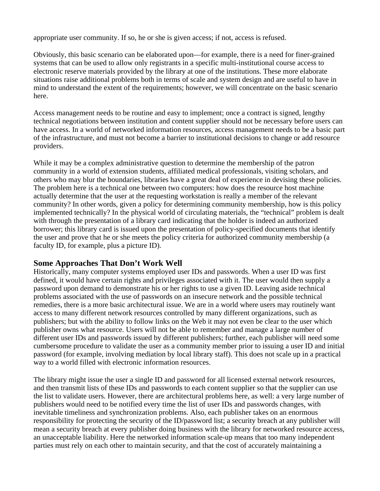appropriate user community. If so, he or she is given access; if not, access is refused.

Obviously, this basic scenario can be elaborated upon—for example, there is a need for finer-grained systems that can be used to allow only registrants in a specific multi-institutional course access to electronic reserve materials provided by the library at one of the institutions. These more elaborate situations raise additional problems both in terms of scale and system design and are useful to have in mind to understand the extent of the requirements; however, we will concentrate on the basic scenario here.

Access management needs to be routine and easy to implement; once a contract is signed, lengthy technical negotiations between institution and content supplier should not be necessary before users can have access. In a world of networked information resources, access management needs to be a basic part of the infrastructure, and must not become a barrier to institutional decisions to change or add resource providers.

While it may be a complex administrative question to determine the membership of the patron community in a world of extension students, affiliated medical professionals, visiting scholars, and others who may blur the boundaries, libraries have a great deal of experience in devising these policies. The problem here is a technical one between two computers: how does the resource host machine actually determine that the user at the requesting workstation is really a member of the relevant community? In other words, given a policy for determining community membership, how is this policy implemented technically? In the physical world of circulating materials, the "technical" problem is dealt with through the presentation of a library card indicating that the holder is indeed an authorized borrower; this library card is issued upon the presentation of policy-specified documents that identify the user and prove that he or she meets the policy criteria for authorized community membership (a faculty ID, for example, plus a picture ID).

#### **Some Approaches That Don't Work Well**

Historically, many computer systems employed user IDs and passwords. When a user ID was first defined, it would have certain rights and privileges associated with it. The user would then supply a password upon demand to demonstrate his or her rights to use a given ID. Leaving aside technical problems associated with the use of passwords on an insecure network and the possible technical remedies, there is a more basic architectural issue. We are in a world where users may routinely want access to many different network resources controlled by many different organizations, such as publishers; but with the ability to follow links on the Web it may not even be clear to the user which publisher owns what resource. Users will not be able to remember and manage a large number of different user IDs and passwords issued by different publishers; further, each publisher will need some cumbersome procedure to validate the user as a community member prior to issuing a user ID and initial password (for example, involving mediation by local library staff). This does not scale up in a practical way to a world filled with electronic information resources.

The library might issue the user a single ID and password for all licensed external network resources, and then transmit lists of these IDs and passwords to each content supplier so that the supplier can use the list to validate users. However, there are architectural problems here, as well: a very large number of publishers would need to be notified every time the list of user IDs and passwords changes, with inevitable timeliness and synchronization problems. Also, each publisher takes on an enormous responsibility for protecting the security of the ID/password list; a security breach at any publisher will mean a security breach at every publisher doing business with the library for networked resource access, an unacceptable liability. Here the networked information scale-up means that too many independent parties must rely on each other to maintain security, and that the cost of accurately maintaining a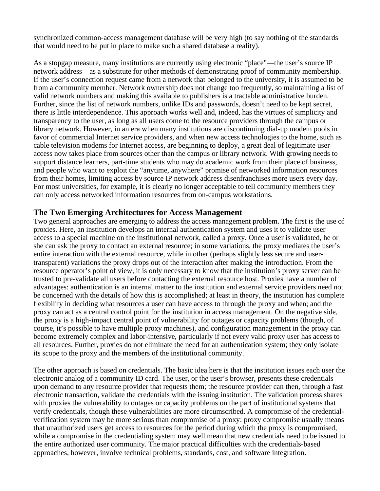synchronized common-access management database will be very high (to say nothing of the standards that would need to be put in place to make such a shared database a reality).

As a stopgap measure, many institutions are currently using electronic "place"—the user's source IP network address—as a substitute for other methods of demonstrating proof of community membership. If the user's connection request came from a network that belonged to the university, it is assumed to be from a community member. Network ownership does not change too frequently, so maintaining a list of valid network numbers and making this available to publishers is a tractable administrative burden. Further, since the list of network numbers, unlike IDs and passwords, doesn't need to be kept secret, there is little interdependence. This approach works well and, indeed, has the virtues of simplicity and transparency to the user, as long as all users come to the resource providers through the campus or library network. However, in an era when many institutions are discontinuing dial-up modem pools in favor of commercial Internet service providers, and when new access technologies to the home, such as cable television modems for Internet access, are beginning to deploy, a great deal of legitimate user access now takes place from sources other than the campus or library network. With growing needs to support distance learners, part-time students who may do academic work from their place of business, and people who want to exploit the "anytime, anywhere" promise of networked information resources from their homes, limiting access by source IP network address disenfranchises more users every day. For most universities, for example, it is clearly no longer acceptable to tell community members they can only access networked information resources from on-campus workstations.

### **The Two Emerging Architectures for Access Management**

Two general approaches are emerging to address the access management problem. The first is the use of proxies. Here, an institution develops an internal authentication system and uses it to validate user access to a special machine on the institutional network, called a proxy. Once a user is validated, he or she can ask the proxy to contact an external resource; in some variations, the proxy mediates the user's entire interaction with the external resource, while in other (perhaps slightly less secure and usertransparent) variations the proxy drops out of the interaction after making the introduction. From the resource operator's point of view, it is only necessary to know that the institution's proxy server can be trusted to pre-validate all users before contacting the external resource host. Proxies have a number of advantages: authentication is an internal matter to the institution and external service providers need not be concerned with the details of how this is accomplished; at least in theory, the institution has complete flexibility in deciding what resources a user can have access to through the proxy and when; and the proxy can act as a central control point for the institution in access management. On the negative side, the proxy is a high-impact central point of vulnerability for outages or capacity problems (though, of course, it's possible to have multiple proxy machines), and configuration management in the proxy can become extremely complex and labor-intensive, particularly if not every valid proxy user has access to all resources. Further, proxies do not eliminate the need for an authentication system; they only isolate its scope to the proxy and the members of the institutional community.

The other approach is based on credentials. The basic idea here is that the institution issues each user the electronic analog of a community ID card. The user, or the user's browser, presents these credentials upon demand to any resource provider that requests them; the resource provider can then, through a fast electronic transaction, validate the credentials with the issuing institution. The validation process shares with proxies the vulnerability to outages or capacity problems on the part of institutional systems that verify credentials, though these vulnerabilities are more circumscribed. A compromise of the credentialverification system may be more serious than compromise of a proxy: proxy compromise usually means that unauthorized users get access to resources for the period during which the proxy is compromised, while a compromise in the credentialing system may well mean that new credentials need to be issued to the entire authorized user community. The major practical difficulties with the credentials-based approaches, however, involve technical problems, standards, cost, and software integration.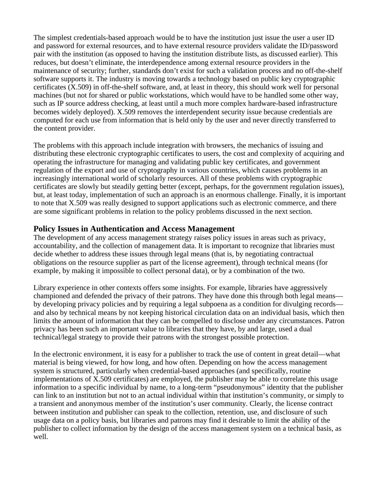The simplest credentials-based approach would be to have the institution just issue the user a user ID and password for external resources, and to have external resource providers validate the ID/password pair with the institution (as opposed to having the institution distribute lists, as discussed earlier). This reduces, but doesn't eliminate, the interdependence among external resource providers in the maintenance of security; further, standards don't exist for such a validation process and no off-the-shelf software supports it. The industry is moving towards a technology based on public key cryptographic certificates (X.509) in off-the-shelf software, and, at least in theory, this should work well for personal machines (but not for shared or public workstations, which would have to be handled some other way, such as IP source address checking, at least until a much more complex hardware-based infrastructure becomes widely deployed). X.509 removes the interdependent security issue because credentials are computed for each use from information that is held only by the user and never directly transferred to the content provider.

The problems with this approach include integration with browsers, the mechanics of issuing and distributing these electronic cryptographic certificates to users, the cost and complexity of acquiring and operating the infrastructure for managing and validating public key certificates, and government regulation of the export and use of cryptography in various countries, which causes problems in an increasingly international world of scholarly resources. All of these problems with cryptographic certificates are slowly but steadily getting better (except, perhaps, for the government regulation issues), but, at least today, implementation of such an approach is an enormous challenge. Finally, it is important to note that X.509 was really designed to support applications such as electronic commerce, and there are some significant problems in relation to the policy problems discussed in the next section.

## **Policy Issues in Authentication and Access Management**

The development of any access management strategy raises policy issues in areas such as privacy, accountability, and the collection of management data. It is important to recognize that libraries must decide whether to address these issues through legal means (that is, by negotiating contractual obligations on the resource supplier as part of the license agreement), through technical means (for example, by making it impossible to collect personal data), or by a combination of the two.

Library experience in other contexts offers some insights. For example, libraries have aggressively championed and defended the privacy of their patrons. They have done this through both legal means by developing privacy policies and by requiring a legal subpoena as a condition for divulging records and also by technical means by not keeping historical circulation data on an individual basis, which then limits the amount of information that they can be compelled to disclose under any circumstances. Patron privacy has been such an important value to libraries that they have, by and large, used a dual technical/legal strategy to provide their patrons with the strongest possible protection.

In the electronic environment, it is easy for a publisher to track the use of content in great detail—what material is being viewed, for how long, and how often. Depending on how the access management system is structured, particularly when credential-based approaches (and specifically, routine implementations of X.509 certificates) are employed, the publisher may be able to correlate this usage information to a specific individual by name, to a long-term "pseudonymous" identity that the publisher can link to an institution but not to an actual individual within that institution's community, or simply to a transient and anonymous member of the institution's user community. Clearly, the license contract between institution and publisher can speak to the collection, retention, use, and disclosure of such usage data on a policy basis, but libraries and patrons may find it desirable to limit the ability of the publisher to collect information by the design of the access management system on a technical basis, as well.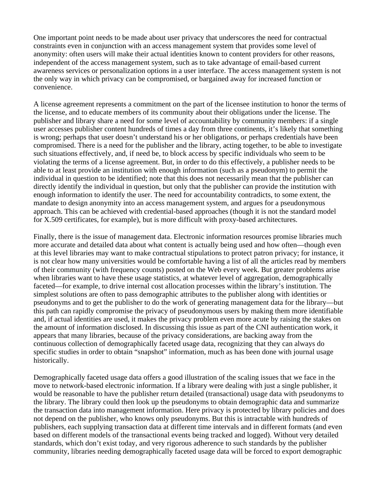One important point needs to be made about user privacy that underscores the need for contractual constraints even in conjunction with an access management system that provides some level of anonymity: often users will make their actual identities known to content providers for other reasons, independent of the access management system, such as to take advantage of email-based current awareness services or personalization options in a user interface. The access management system is not the only way in which privacy can be compromised, or bargained away for increased function or convenience.

A license agreement represents a commitment on the part of the licensee institution to honor the terms of the license, and to educate members of its community about their obligations under the license. The publisher and library share a need for some level of accountability by community members: if a single user accesses publisher content hundreds of times a day from three continents, it's likely that something is wrong; perhaps that user doesn't understand his or her obligations, or perhaps credentials have been compromised. There is a need for the publisher and the library, acting together, to be able to investigate such situations effectively, and, if need be, to block access by specific individuals who seem to be violating the terms of a license agreement. But, in order to do this effectively, a publisher needs to be able to at least provide an institution with enough information (such as a pseudonym) to permit the individual in question to be identified; note that this does not necessarily mean that the publisher can directly identify the individual in question, but only that the publisher can provide the institution with enough information to identify the user. The need for accountability contradicts, to some extent, the mandate to design anonymity into an access management system, and argues for a pseudonymous approach. This can be achieved with credential-based approaches (though it is not the standard model for X.509 certificates, for example), but is more difficult with proxy-based architectures.

Finally, there is the issue of management data. Electronic information resources promise libraries much more accurate and detailed data about what content is actually being used and how often—though even at this level libraries may want to make contractual stipulations to protect patron privacy; for instance, it is not clear how many universities would be comfortable having a list of all the articles read by members of their community (with frequency counts) posted on the Web every week. But greater problems arise when libraries want to have these usage statistics, at whatever level of aggregation, demographically faceted—for example, to drive internal cost allocation processes within the library's institution. The simplest solutions are often to pass demographic attributes to the publisher along with identities or pseudonyms and to get the publisher to do the work of generating management data for the library—but this path can rapidly compromise the privacy of pseudonymous users by making them more identifiable and, if actual identities are used, it makes the privacy problem even more acute by raising the stakes on the amount of information disclosed. In discussing this issue as part of the CNI authentication work, it appears that many libraries, because of the privacy considerations, are backing away from the continuous collection of demographically faceted usage data, recognizing that they can always do specific studies in order to obtain "snapshot" information, much as has been done with journal usage historically.

Demographically faceted usage data offers a good illustration of the scaling issues that we face in the move to network-based electronic information. If a library were dealing with just a single publisher, it would be reasonable to have the publisher return detailed (transactional) usage data with pseudonyms to the library. The library could then look up the pseudonyms to obtain demographic data and summarize the transaction data into management information. Here privacy is protected by library policies and does not depend on the publisher, who knows only pseudonyms. But this is intractable with hundreds of publishers, each supplying transaction data at different time intervals and in different formats (and even based on different models of the transactional events being tracked and logged). Without very detailed standards, which don't exist today, and very rigorous adherence to such standards by the publisher community, libraries needing demographically faceted usage data will be forced to export demographic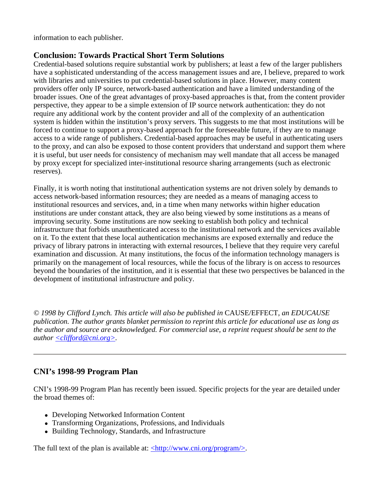information to each publisher.

## **Conclusion: Towards Practical Short Term Solutions**

Credential-based solutions require substantial work by publishers; at least a few of the larger publishers have a sophisticated understanding of the access management issues and are, I believe, prepared to work with libraries and universities to put credential-based solutions in place. However, many content providers offer only IP source, network-based authentication and have a limited understanding of the broader issues. One of the great advantages of proxy-based approaches is that, from the content provider perspective, they appear to be a simple extension of IP source network authentication: they do not require any additional work by the content provider and all of the complexity of an authentication system is hidden within the institution's proxy servers. This suggests to me that most institutions will be forced to continue to support a proxy-based approach for the foreseeable future, if they are to manage access to a wide range of publishers. Credential-based approaches may be useful in authenticating users to the proxy, and can also be exposed to those content providers that understand and support them where it is useful, but user needs for consistency of mechanism may well mandate that all access be managed by proxy except for specialized inter-institutional resource sharing arrangements (such as electronic reserves).

Finally, it is worth noting that institutional authentication systems are not driven solely by demands to access network-based information resources; they are needed as a means of managing access to institutional resources and services, and, in a time when many networks within higher education institutions are under constant attack, they are also being viewed by some institutions as a means of improving security. Some institutions are now seeking to establish both policy and technical infrastructure that forbids unauthenticated access to the institutional network and the services available on it. To the extent that these local authentication mechanisms are exposed externally and reduce the privacy of library patrons in interacting with external resources, I believe that they require very careful examination and discussion. At many institutions, the focus of the information technology managers is primarily on the management of local resources, while the focus of the library is on access to resources beyond the boundaries of the institution, and it is essential that these two perspectives be balanced in the development of institutional infrastructure and policy.

*© 1998 by Clifford Lynch. This article will also be published in* CAUSE/EFFECT*, an EDUCAUSE publication. The author grants blanket permission to reprint this article for educational use as long as the author and source are acknowledged. For commercial use, a reprint request should be sent to the author <clifford@cni.org>.*

## **CNI's 1998-99 Program Plan**

CNI's 1998-99 Program Plan has recently been issued. Specific projects for the year are detailed under the broad themes of:

- Developing Networked Information Content
- Transforming Organizations, Professions, and Individuals
- Building Technology, Standards, and Infrastructure

The full text of the plan is available at:  $\langle \frac{http://www.cni.org/program/}{$ .